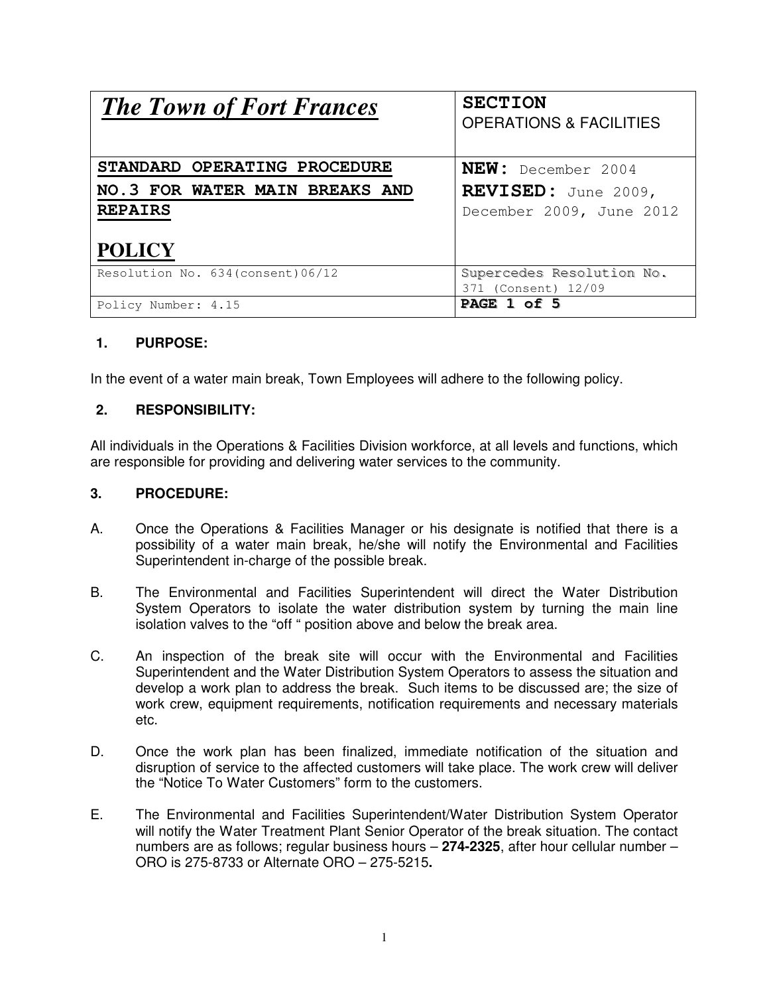| <b>The Town of Fort Frances</b>    | <b>SECTION</b><br><b>OPERATIONS &amp; FACILITIES</b> |
|------------------------------------|------------------------------------------------------|
| STANDARD OPERATING PROCEDURE       | NEW: December 2004                                   |
| NO.3 FOR WATER MAIN BREAKS AND     | REVISED: June 2009,                                  |
| <b>REPAIRS</b>                     | December 2009, June 2012                             |
| <b>POLICY</b>                      |                                                      |
| Resolution No. 634 (consent) 06/12 | Supercedes Resolution No.                            |
|                                    | 371 (Consent) 12/09                                  |
| Policy Number: 4.15                | PAGE 1 of 5                                          |

## **1. PURPOSE:**

In the event of a water main break, Town Employees will adhere to the following policy.

### **2. RESPONSIBILITY:**

All individuals in the Operations & Facilities Division workforce, at all levels and functions, which are responsible for providing and delivering water services to the community.

#### **3. PROCEDURE:**

- A. Once the Operations & Facilities Manager or his designate is notified that there is a possibility of a water main break, he/she will notify the Environmental and Facilities Superintendent in-charge of the possible break.
- B. The Environmental and Facilities Superintendent will direct the Water Distribution System Operators to isolate the water distribution system by turning the main line isolation valves to the "off " position above and below the break area.
- C. An inspection of the break site will occur with the Environmental and Facilities Superintendent and the Water Distribution System Operators to assess the situation and develop a work plan to address the break. Such items to be discussed are; the size of work crew, equipment requirements, notification requirements and necessary materials etc.
- D. Once the work plan has been finalized, immediate notification of the situation and disruption of service to the affected customers will take place. The work crew will deliver the "Notice To Water Customers" form to the customers.
- E. The Environmental and Facilities Superintendent/Water Distribution System Operator will notify the Water Treatment Plant Senior Operator of the break situation. The contact numbers are as follows; regular business hours – **274-2325**, after hour cellular number – ORO is 275-8733 or Alternate ORO – 275-5215**.**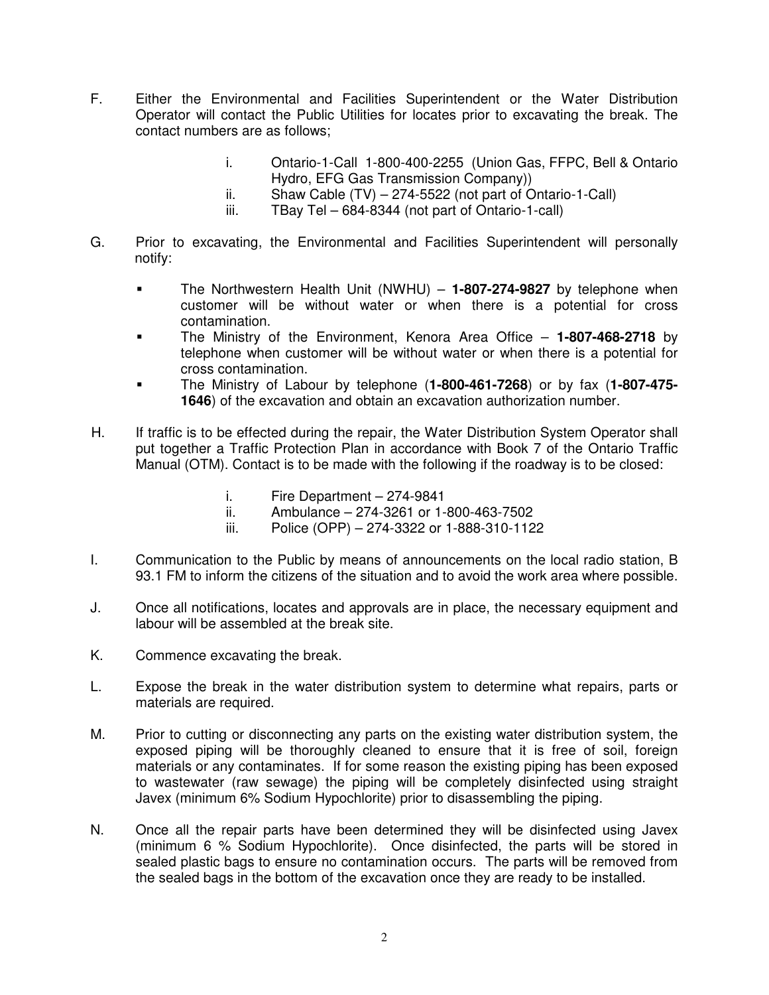- F. Either the Environmental and Facilities Superintendent or the Water Distribution Operator will contact the Public Utilities for locates prior to excavating the break. The contact numbers are as follows;
	- i. Ontario-1-Call 1-800-400-2255 (Union Gas, FFPC, Bell & Ontario Hydro, EFG Gas Transmission Company))
	- ii. Shaw Cable (TV) 274-5522 (not part of Ontario-1-Call)
	- iii. TBay Tel 684-8344 (not part of Ontario-1-call)
- G. Prior to excavating, the Environmental and Facilities Superintendent will personally notify:
	- The Northwestern Health Unit (NWHU) **1-807-274-9827** by telephone when customer will be without water or when there is a potential for cross contamination.
	- The Ministry of the Environment, Kenora Area Office **1-807-468-2718** by telephone when customer will be without water or when there is a potential for cross contamination.
	- The Ministry of Labour by telephone (**1-800-461-7268**) or by fax (**1-807-475- 1646**) of the excavation and obtain an excavation authorization number.
- H. If traffic is to be effected during the repair, the Water Distribution System Operator shall put together a Traffic Protection Plan in accordance with Book 7 of the Ontario Traffic Manual (OTM). Contact is to be made with the following if the roadway is to be closed:
	- i. Fire Department 274-9841
	- ii. Ambulance 274-3261 or 1-800-463-7502
	- iii. Police (OPP) 274-3322 or 1-888-310-1122
- I. Communication to the Public by means of announcements on the local radio station, B 93.1 FM to inform the citizens of the situation and to avoid the work area where possible.
- J. Once all notifications, locates and approvals are in place, the necessary equipment and labour will be assembled at the break site.
- K. Commence excavating the break.
- L. Expose the break in the water distribution system to determine what repairs, parts or materials are required.
- M. Prior to cutting or disconnecting any parts on the existing water distribution system, the exposed piping will be thoroughly cleaned to ensure that it is free of soil, foreign materials or any contaminates. If for some reason the existing piping has been exposed to wastewater (raw sewage) the piping will be completely disinfected using straight Javex (minimum 6% Sodium Hypochlorite) prior to disassembling the piping.
- N. Once all the repair parts have been determined they will be disinfected using Javex (minimum 6 % Sodium Hypochlorite). Once disinfected, the parts will be stored in sealed plastic bags to ensure no contamination occurs. The parts will be removed from the sealed bags in the bottom of the excavation once they are ready to be installed.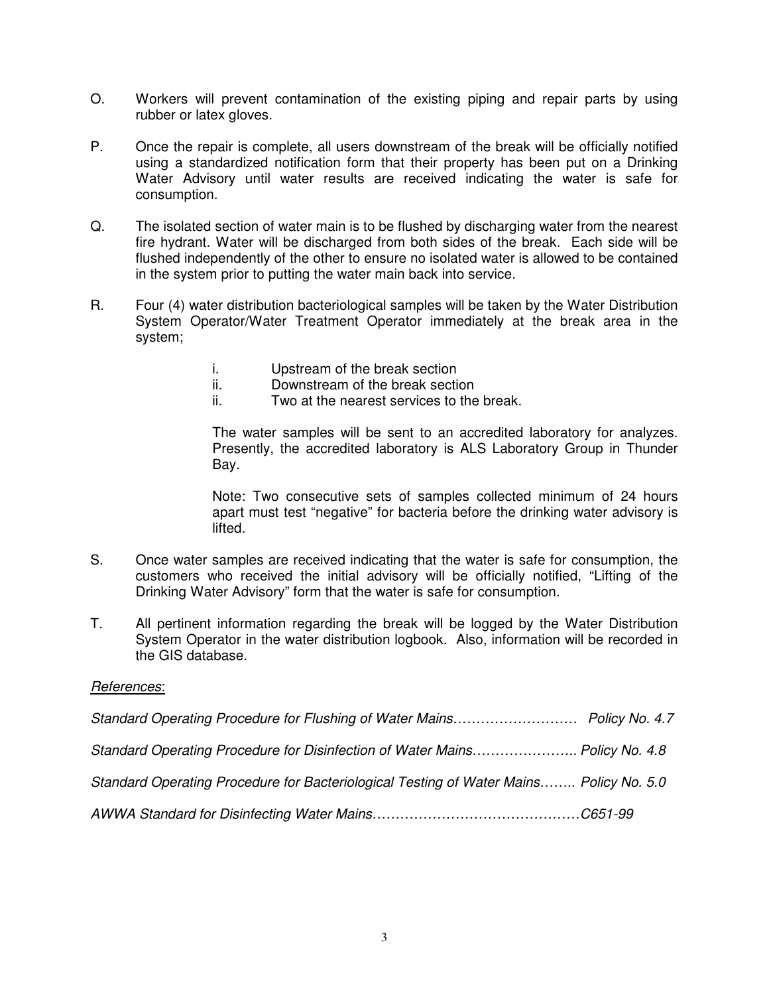- O. Workers will prevent contamination of the existing piping and repair parts by using rubber or latex gloves.
- P. Once the repair is complete, all users downstream of the break will be officially notified using a standardized notification form that their property has been put on a Drinking Water Advisory until water results are received indicating the water is safe for consumption.
- Q. The isolated section of water main is to be flushed by discharging water from the nearest fire hydrant. Water will be discharged from both sides of the break. Each side will be flushed independently of the other to ensure no isolated water is allowed to be contained in the system prior to putting the water main back into service.
- R. Four (4) water distribution bacteriological samples will be taken by the Water Distribution System Operator/Water Treatment Operator immediately at the break area in the system;
	- i. Upstream of the break section
	- ii. Downstream of the break section
	- ii. Two at the nearest services to the break.

The water samples will be sent to an accredited laboratory for analyzes. Presently, the accredited laboratory is ALS Laboratory Group in Thunder Bay.

Note: Two consecutive sets of samples collected minimum of 24 hours apart must test "negative" for bacteria before the drinking water advisory is lifted.

- S. Once water samples are received indicating that the water is safe for consumption, the customers who received the initial advisory will be officially notified, "Lifting of the Drinking Water Advisory" form that the water is safe for consumption.
- T. All pertinent information regarding the break will be logged by the Water Distribution System Operator in the water distribution logbook. Also, information will be recorded in the GIS database.

#### References:

| Standard Operating Procedure for Disinfection of Water Mains Policy No. 4.8            |  |
|----------------------------------------------------------------------------------------|--|
| Standard Operating Procedure for Bacteriological Testing of Water Mains Policy No. 5.0 |  |
|                                                                                        |  |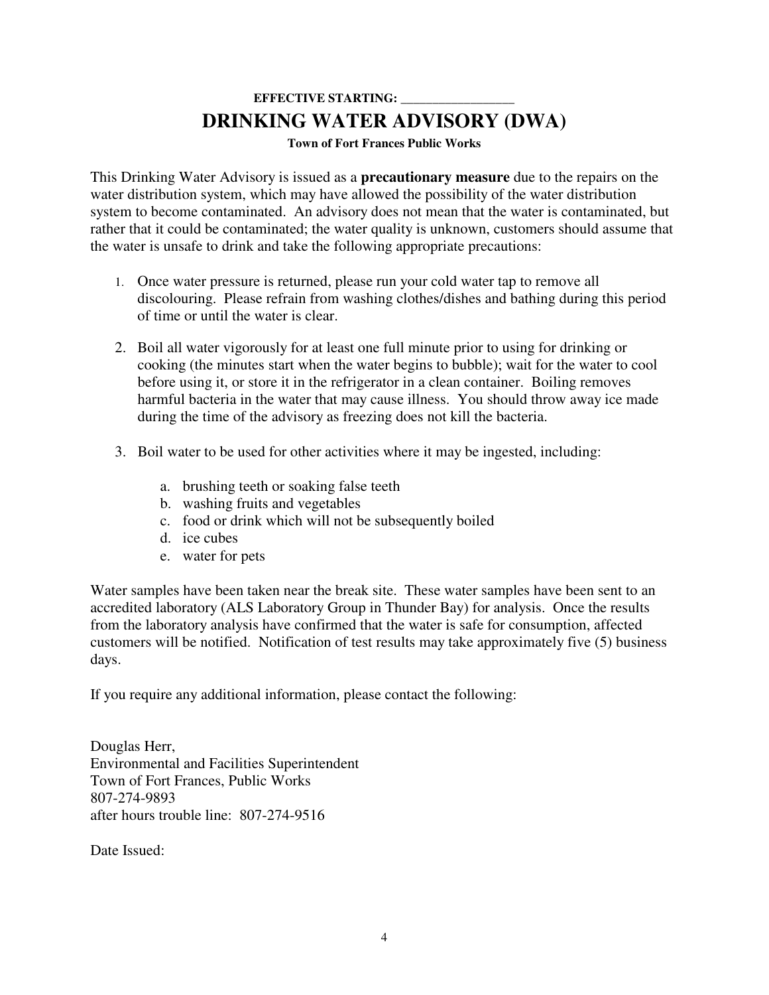# **EFFECTIVE STARTING: DRINKING WATER ADVISORY (DWA)**

**Town of Fort Frances Public Works** 

This Drinking Water Advisory is issued as a **precautionary measure** due to the repairs on the water distribution system, which may have allowed the possibility of the water distribution system to become contaminated. An advisory does not mean that the water is contaminated, but rather that it could be contaminated; the water quality is unknown, customers should assume that the water is unsafe to drink and take the following appropriate precautions:

- 1. Once water pressure is returned, please run your cold water tap to remove all discolouring. Please refrain from washing clothes/dishes and bathing during this period of time or until the water is clear.
- 2. Boil all water vigorously for at least one full minute prior to using for drinking or cooking (the minutes start when the water begins to bubble); wait for the water to cool before using it, or store it in the refrigerator in a clean container. Boiling removes harmful bacteria in the water that may cause illness. You should throw away ice made during the time of the advisory as freezing does not kill the bacteria.
- 3. Boil water to be used for other activities where it may be ingested, including:
	- a. brushing teeth or soaking false teeth
	- b. washing fruits and vegetables
	- c. food or drink which will not be subsequently boiled
	- d. ice cubes
	- e. water for pets

Water samples have been taken near the break site. These water samples have been sent to an accredited laboratory (ALS Laboratory Group in Thunder Bay) for analysis. Once the results from the laboratory analysis have confirmed that the water is safe for consumption, affected customers will be notified. Notification of test results may take approximately five (5) business days.

If you require any additional information, please contact the following:

Douglas Herr, Environmental and Facilities Superintendent Town of Fort Frances, Public Works 807-274-9893 after hours trouble line: 807-274-9516

Date Issued: